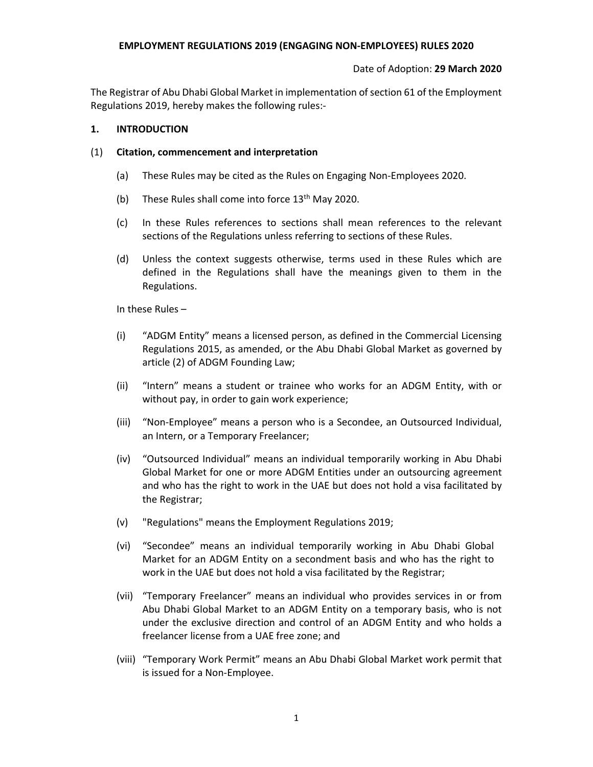#### **EMPLOYMENT REGULATIONS 2019 (ENGAGING NON‐EMPLOYEES) RULES 2020**

#### Date of Adoption: **29 March 2020**

The Registrar of Abu Dhabi Global Market in implementation of section 61 of the Employment Regulations 2019, hereby makes the following rules:‐

#### **1. INTRODUCTION**

#### (1) **Citation, commencement and interpretation**

- (a) These Rules may be cited as the Rules on Engaging Non‐Employees 2020.
- (b) These Rules shall come into force  $13<sup>th</sup>$  May 2020.
- (c) In these Rules references to sections shall mean references to the relevant sections of the Regulations unless referring to sections of these Rules.
- (d) Unless the context suggests otherwise, terms used in these Rules which are defined in the Regulations shall have the meanings given to them in the Regulations.

In these Rules –

- (i) "ADGM Entity" means a licensed person, as defined in the Commercial Licensing Regulations 2015, as amended, or the Abu Dhabi Global Market as governed by article (2) of ADGM Founding Law;
- (ii) "Intern" means a student or trainee who works for an ADGM Entity, with or without pay, in order to gain work experience;
- (iii) "Non‐Employee" means a person who is a Secondee, an Outsourced Individual, an Intern, or a Temporary Freelancer;
- (iv) "Outsourced Individual" means an individual temporarily working in Abu Dhabi Global Market for one or more ADGM Entities under an outsourcing agreement and who has the right to work in the UAE but does not hold a visa facilitated by the Registrar;
- (v) "Regulations" means the Employment Regulations 2019;
- (vi) "Secondee" means an individual temporarily working in Abu Dhabi Global Market for an ADGM Entity on a secondment basis and who has the right to work in the UAE but does not hold a visa facilitated by the Registrar;
- (vii) "Temporary Freelancer" means an individual who provides services in or from Abu Dhabi Global Market to an ADGM Entity on a temporary basis, who is not under the exclusive direction and control of an ADGM Entity and who holds a freelancer license from a UAE free zone; and
- (viii) "Temporary Work Permit" means an Abu Dhabi Global Market work permit that is issued for a Non‐Employee.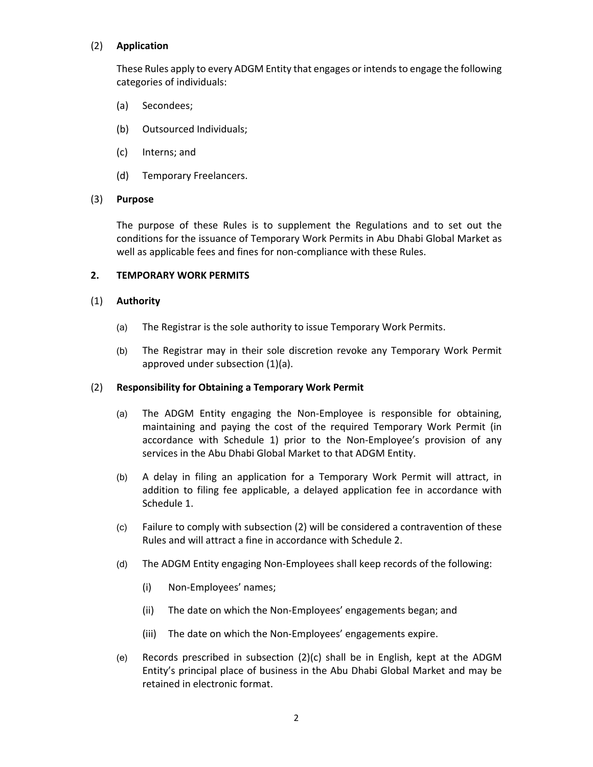## (2) **Application**

These Rules apply to every ADGM Entity that engages or intends to engage the following categories of individuals:

- (a) Secondees;
- (b) Outsourced Individuals;
- (c) Interns; and
- (d) Temporary Freelancers.

### (3) **Purpose**

The purpose of these Rules is to supplement the Regulations and to set out the conditions for the issuance of Temporary Work Permits in Abu Dhabi Global Market as well as applicable fees and fines for non‐compliance with these Rules.

### **2. TEMPORARY WORK PERMITS**

### (1) **Authority**

- (a) The Registrar is the sole authority to issue Temporary Work Permits.
- (b) The Registrar may in their sole discretion revoke any Temporary Work Permit approved under subsection (1)(a).

### (2) **Responsibility for Obtaining a Temporary Work Permit**

- (a) The ADGM Entity engaging the Non-Employee is responsible for obtaining, maintaining and paying the cost of the required Temporary Work Permit (in accordance with Schedule 1) prior to the Non‐Employee's provision of any services in the Abu Dhabi Global Market to that ADGM Entity.
- (b) A delay in filing an application for a Temporary Work Permit will attract, in addition to filing fee applicable, a delayed application fee in accordance with Schedule 1.
- (c) Failure to comply with subsection (2) will be considered a contravention of these Rules and will attract a fine in accordance with Schedule 2.
- (d) The ADGM Entity engaging Non‐Employees shall keep records of the following:
	- (i) Non‐Employees' names;
	- (ii) The date on which the Non‐Employees' engagements began; and
	- (iii) The date on which the Non‐Employees' engagements expire.
- (e) Records prescribed in subsection  $(2)(c)$  shall be in English, kept at the ADGM Entity's principal place of business in the Abu Dhabi Global Market and may be retained in electronic format.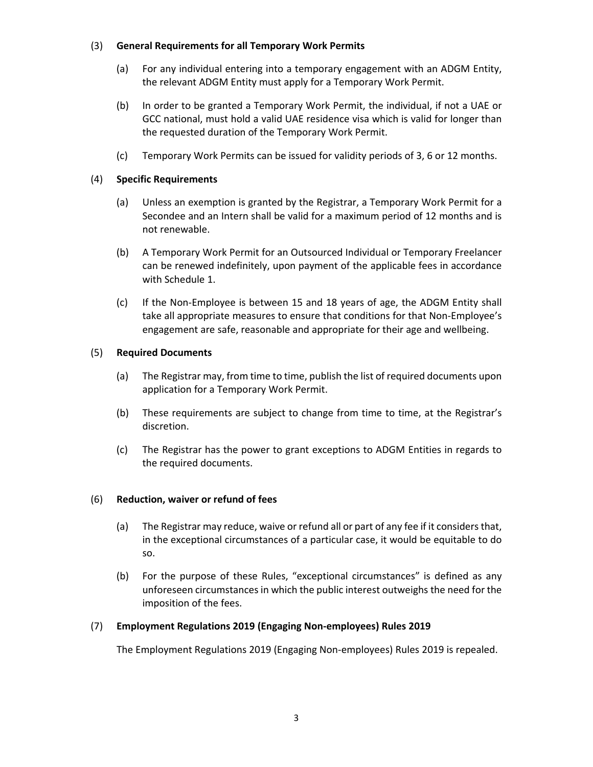## (3) **General Requirements for all Temporary Work Permits**

- (a) For any individual entering into a temporary engagement with an ADGM Entity, the relevant ADGM Entity must apply for a Temporary Work Permit.
- (b) In order to be granted a Temporary Work Permit, the individual, if not a UAE or GCC national, must hold a valid UAE residence visa which is valid for longer than the requested duration of the Temporary Work Permit.
- (c) Temporary Work Permits can be issued for validity periods of 3, 6 or 12 months.

## (4) **Specific Requirements**

- (a) Unless an exemption is granted by the Registrar, a Temporary Work Permit for a Secondee and an Intern shall be valid for a maximum period of 12 months and is not renewable.
- (b) A Temporary Work Permit for an Outsourced Individual or Temporary Freelancer can be renewed indefinitely, upon payment of the applicable fees in accordance with Schedule 1.
- (c) If the Non‐Employee is between 15 and 18 years of age, the ADGM Entity shall take all appropriate measures to ensure that conditions for that Non‐Employee's engagement are safe, reasonable and appropriate for their age and wellbeing.

## (5) **Required Documents**

- (a) The Registrar may, from time to time, publish the list of required documents upon application for a Temporary Work Permit.
- (b) These requirements are subject to change from time to time, at the Registrar's discretion.
- (c) The Registrar has the power to grant exceptions to ADGM Entities in regards to the required documents.

### (6) **Reduction, waiver or refund of fees**

- (a) The Registrar may reduce, waive or refund all or part of any fee if it considers that, in the exceptional circumstances of a particular case, it would be equitable to do so.
- (b) For the purpose of these Rules, "exceptional circumstances" is defined as any unforeseen circumstances in which the public interest outweighs the need for the imposition of the fees.

## (7) **Employment Regulations 2019 (Engaging Non‐employees) Rules 2019**

The Employment Regulations 2019 (Engaging Non‐employees) Rules 2019 is repealed.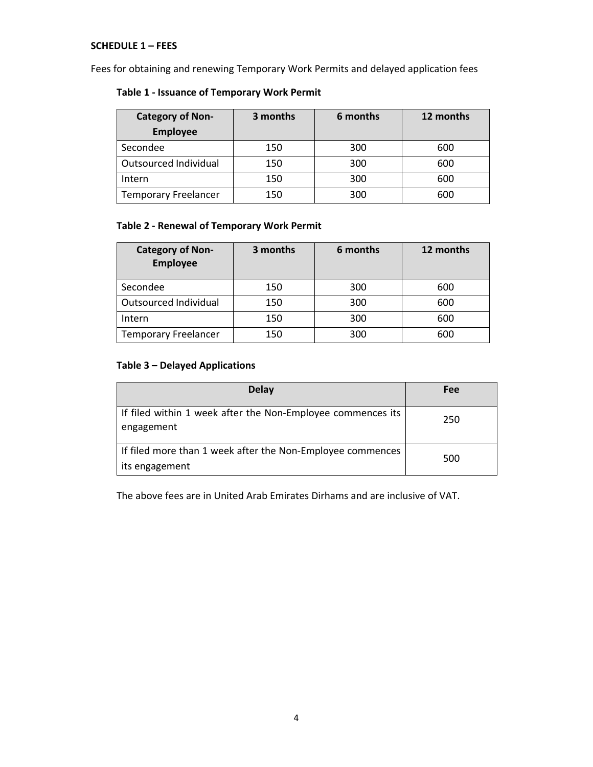## **SCHEDULE 1 – FEES**

Fees for obtaining and renewing Temporary Work Permits and delayed application fees

## **Table 1 ‐ Issuance of Temporary Work Permit**

| <b>Category of Non-</b>     | 3 months | 6 months | 12 months |
|-----------------------------|----------|----------|-----------|
| <b>Employee</b>             |          |          |           |
| Secondee                    | 150      | 300      | 600       |
| Outsourced Individual       | 150      | 300      | 600       |
| Intern                      | 150      | 300      | 600       |
| <b>Temporary Freelancer</b> | 150      | 300      | 600       |

## **Table 2 ‐ Renewal of Temporary Work Permit**

| <b>Category of Non-</b><br><b>Employee</b> | 3 months | 6 months | 12 months |
|--------------------------------------------|----------|----------|-----------|
| Secondee                                   | 150      | 300      | 600       |
| Outsourced Individual                      | 150      | 300      | 600       |
| Intern                                     | 150      | 300      | 600       |
| <b>Temporary Freelancer</b>                | 150      | 300      | 600       |

## **Table 3 – Delayed Applications**

| <b>Delay</b>                                                                 | Fee |
|------------------------------------------------------------------------------|-----|
| If filed within 1 week after the Non-Employee commences its<br>engagement    | 250 |
| If filed more than 1 week after the Non-Employee commences<br>its engagement | 500 |

The above fees are in United Arab Emirates Dirhams and are inclusive of VAT.